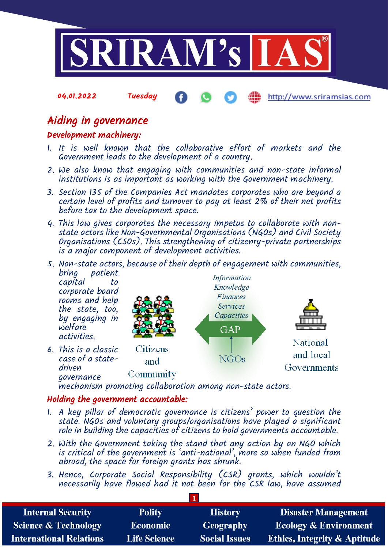

### 04.01.2022 Tuesday http://www.sriramsias.com

## Aiding in governance

## Development machinery:

- 1. It is well known that the collaborative effort of markets and the Government leads to the development of a country.
- 2. We also know that engaging with communities and non-state informal institutions is as important as working with the Government machinery.
- 3. Section 135 of the Companies Act mandates corporates who are beyond a certain level of profits and turnover to pay at least 2% of their net profits before tax to the development space.
- 4. This law gives corporates the necessary impetus to collaborate with nonstate actors like Non-Governmental Organisations (NGOs) and Civil Society Organisations (CSOs). This strengthening of citizenry-private partnerships is a major component of development activities.



mechanism promoting collaboration among non-state actors.

## Holding the government accountable:

- 1. A key pillar of democratic governance is citizens' power to question the state. NGOs and voluntary groups/organisations have played a significant role in building the capacities of citizens to hold governments accountable.
- 2. With the Government taking the stand that any action by an NGO which is critical of the government is 'anti-national', more so when funded from abroad, the space for foreign grants has shrunk.
- 3. Hence, Corporate Social Responsibility (CSR) grants, which wouldn't necessarily have flowed had it not been for the CSR law, have assumed

| <b>Internal Security</b>        | <b>Polity</b>       | <b>History</b>       | <b>Disaster Management</b>              |
|---------------------------------|---------------------|----------------------|-----------------------------------------|
| <b>Science &amp; Technology</b> | <b>Economic</b>     | Geography            | <b>Ecology &amp; Environment</b>        |
| <b>International Relations</b>  | <b>Life Science</b> | <b>Social Issues</b> | <b>Ethics, Integrity &amp; Aptitude</b> |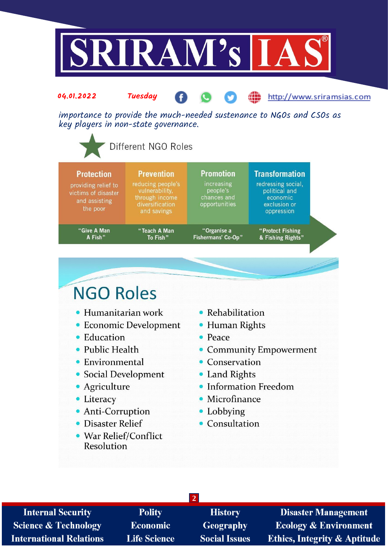

| <b>Protection</b><br>providing relief to<br>victims of disaster<br>and assisting<br>the poor | <b>Prevention</b><br>reducing people's<br>vulnerability,<br>through income<br>diversification<br>and savings | <b>Promotion</b><br>increasing<br>people's<br>chances and<br>opportunities | <b>Transformation</b><br>redressing social,<br>political and<br>economic<br>exclusion or<br>oppression |
|----------------------------------------------------------------------------------------------|--------------------------------------------------------------------------------------------------------------|----------------------------------------------------------------------------|--------------------------------------------------------------------------------------------------------|
| "Give A Man                                                                                  | "Teach A Man                                                                                                 | "Organise a                                                                | "Protect Fishing                                                                                       |
| A Fish"                                                                                      | To Fish"                                                                                                     | Fishermans' Co-Op"                                                         | & Fishing Rights"                                                                                      |

# **NGO Roles**

- Humanitarian work
- Economic Development
- Education
- Public Health
- Environmental
- Social Development
- · Agriculture
- Literacy
- Anti-Corruption
- Disaster Relief
- War Relief/Conflict **Resolution**
- Rehabilitation
- Human Rights
- $\bullet$  Peace
- Community Empowerment
- Conservation
- Land Rights
- Information Freedom
- Microfinance
- Lobbying
- Consultation

| <b>Internal Security</b>        | <b>Polity</b>       | <b>History</b>       | <b>Disas</b>       |
|---------------------------------|---------------------|----------------------|--------------------|
| <b>Science &amp; Technology</b> | <b>Economic</b>     | Geography            | Ecolog             |
| <b>International Relations</b>  | <b>Life Science</b> | <b>Social Issues</b> | <b>Ethics</b> , In |

ter Management  $y \& E$ nvironment ntegrity & Aptitude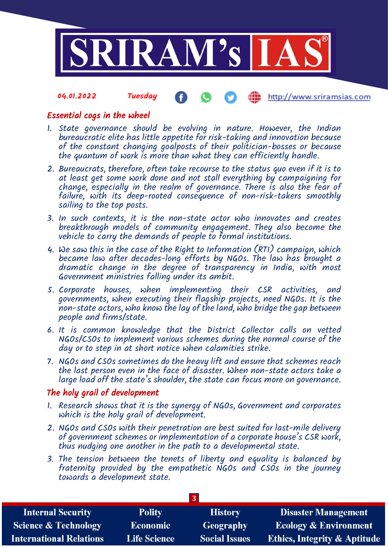

#### 04.01.2022 Tuesday http://www.sriramsias.com

## Essential cogs in the wheel

- 1. State governance should be evolving in nature. However, the Indian bureaucratic elite has little appetite for risk-taking and innovation because of the constant changing goalposts of their politician-bosses or because the quantum of work is more than what they can efficiently handle.
- 2. Bureaucrats, therefore, often take recourse to the status quo even if it is to at least get some work done and not stall everything by campaigning for change, especially in the realm of governance. There is also the fear of failure, with its deep-rooted consequence of non-risk-takers smoothly sailing to the top posts.
- 3. In such contexts, it is the non-state actor who innovates and creates breakthrough models of community engagement. They also become the vehicle to carry the demands of people to formal institutions.
- 4. We saw this in the case of the Right to Information (RTI) campaign, which became law after decades-long efforts by NGOs. The law has brought a dramatic change in the degree of transparency in India, with most Government ministries falling under its ambit.
- 5. Corporate houses, when implementing their CSR activities, and governments, when executing their flagship projects, need NGOs. It is the non-state actors, who know the lay of the land, who bridge the gap between people and firms/state.
- 6. It is common knowledge that the District Collector calls on vetted NGOs/CSOs to implement various schemes during the normal course of the day or to step in at short notice when calamities strike.
- 7. NGOs and CSOs sometimes do the heavy lift and ensure that schemes reach the last person even in the face of disaster. When non-state actors take a large load off the state's shoulder, the state can focus more on governance.

## The holy grail of development

- 1. Research shows that it is the synergy of NGOs, Government and corporates which is the holy grail of development.
- 2. NGOs and CSOs with their penetration are best suited for last-mile delivery of government schemes or implementation of a corporate house's CSR work, thus nudging one another in the path to a developmental state.
- 3. The tension between the tenets of liberty and equality is balanced by fraternity provided by the empathetic NGOs and CSOs in the journey towards a development state.

| <b>Internal Security</b>        | <b>Polity</b>       | <b>History</b>       | <b>Disaster Management</b>              |
|---------------------------------|---------------------|----------------------|-----------------------------------------|
| <b>Science &amp; Technology</b> | Economic            | <b>Geography</b>     | <b>Ecology &amp; Environment</b>        |
| <b>International Relations</b>  | <b>Life Science</b> | <b>Social Issues</b> | <b>Ethics, Integrity &amp; Aptitude</b> |